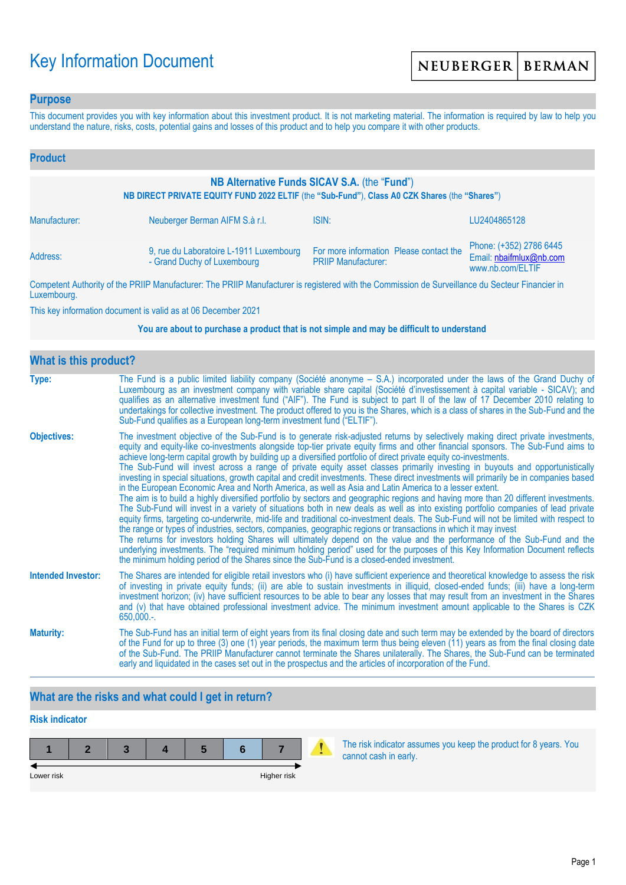# Key Information Document

### **Purpose**

This document provides you with key information about this investment product. It is not marketing material. The information is required by law to help you understand the nature, risks, costs, potential gains and losses of this product and to help you compare it with other products.

| <b>Product</b>                                                                                                                                |                                                                        |                                                                       |                                                                        |  |
|-----------------------------------------------------------------------------------------------------------------------------------------------|------------------------------------------------------------------------|-----------------------------------------------------------------------|------------------------------------------------------------------------|--|
| NB Alternative Funds SICAV S.A. (the "Fund")<br>NB DIRECT PRIVATE EQUITY FUND 2022 ELTIF (the "Sub-Fund"), Class A0 CZK Shares (the "Shares") |                                                                        |                                                                       |                                                                        |  |
| Manufacturer:                                                                                                                                 | Neuberger Berman AIFM S.à r.l.                                         | ISIN:                                                                 | LU2404865128                                                           |  |
| Address:                                                                                                                                      | 9, rue du Laboratoire L-1911 Luxembourg<br>- Grand Duchy of Luxembourg | For more information Please contact the<br><b>PRIIP Manufacturer:</b> | Phone: (+352) 2786 6445<br>Email: nbaifmlux@nb.com<br>www.nb.com/ELTIF |  |

Competent Authority of the PRIIP Manufacturer: The PRIIP Manufacturer is registered with the Commission de Surveillance du Secteur Financier in Luxembourg.

This key information document is valid as at 06 December 2021

#### **You are about to purchase a product that is not simple and may be difficult to understand**

| What is this product?     |                                                                                                                                                                                                                                                                                                                                                                                                                                                                                                                                                                                                                                                                                                                                                                                                                                                                                                                                                                                                                                                                                                                                                                                                                                                                                                                                                                                                                                                                                                                                                                                                                                                                               |  |  |  |
|---------------------------|-------------------------------------------------------------------------------------------------------------------------------------------------------------------------------------------------------------------------------------------------------------------------------------------------------------------------------------------------------------------------------------------------------------------------------------------------------------------------------------------------------------------------------------------------------------------------------------------------------------------------------------------------------------------------------------------------------------------------------------------------------------------------------------------------------------------------------------------------------------------------------------------------------------------------------------------------------------------------------------------------------------------------------------------------------------------------------------------------------------------------------------------------------------------------------------------------------------------------------------------------------------------------------------------------------------------------------------------------------------------------------------------------------------------------------------------------------------------------------------------------------------------------------------------------------------------------------------------------------------------------------------------------------------------------------|--|--|--|
| Type:                     | The Fund is a public limited liability company (Société anonyme - S.A.) incorporated under the laws of the Grand Duchy of<br>Luxembourg as an investment company with variable share capital (Société d'investissement à capital variable - SICAV); and<br>qualifies as an alternative investment fund ("AIF"). The Fund is subject to part II of the law of 17 December 2010 relating to<br>undertakings for collective investment. The product offered to you is the Shares, which is a class of shares in the Sub-Fund and the<br>Sub-Fund qualifies as a European long-term investment fund ("ELTIF").                                                                                                                                                                                                                                                                                                                                                                                                                                                                                                                                                                                                                                                                                                                                                                                                                                                                                                                                                                                                                                                                    |  |  |  |
| <b>Objectives:</b>        | The investment objective of the Sub-Fund is to generate risk-adjusted returns by selectively making direct private investments,<br>equity and equity-like co-investments alongside top-tier private equity firms and other financial sponsors. The Sub-Fund aims to<br>achieve long-term capital growth by building up a diversified portfolio of direct private equity co-investments.<br>The Sub-Fund will invest across a range of private equity asset classes primarily investing in buyouts and opportunistically<br>investing in special situations, growth capital and credit investments. These direct investments will primarily be in companies based<br>in the European Economic Area and North America, as well as Asia and Latin America to a lesser extent.<br>The aim is to build a highly diversified portfolio by sectors and geographic regions and having more than 20 different investments.<br>The Sub-Fund will invest in a variety of situations both in new deals as well as into existing portfolio companies of lead private<br>equity firms, targeting co-underwrite, mid-life and traditional co-investment deals. The Sub-Fund will not be limited with respect to<br>the range or types of industries, sectors, companies, geographic regions or transactions in which it may invest<br>The returns for investors holding Shares will ultimately depend on the value and the performance of the Sub-Fund and the<br>underlying investments. The "required minimum holding period" used for the purposes of this Key Information Document reflects<br>the minimum holding period of the Shares since the Sub-Fund is a closed-ended investment. |  |  |  |
| <b>Intended Investor:</b> | The Shares are intended for eligible retail investors who (i) have sufficient experience and theoretical knowledge to assess the risk<br>of investing in private equity funds; (ii) are able to sustain investments in illiquid, closed-ended funds; (iii) have a long-term<br>investment horizon; (iv) have sufficient resources to be able to bear any losses that may result from an investment in the Shares<br>and (v) that have obtained professional investment advice. The minimum investment amount applicable to the Shares is CZK<br>$650,000.$ -.                                                                                                                                                                                                                                                                                                                                                                                                                                                                                                                                                                                                                                                                                                                                                                                                                                                                                                                                                                                                                                                                                                                 |  |  |  |
| <b>Maturity:</b>          | The Sub-Fund has an initial term of eight years from its final closing date and such term may be extended by the board of directors<br>of the Fund for up to three (3) one (1) year periods, the maximum term thus being eleven (11) years as from the final closing date<br>of the Sub-Fund. The PRIIP Manufacturer cannot terminate the Shares unilaterally. The Shares, the Sub-Fund can be terminated<br>early and liquidated in the cases set out in the prospectus and the articles of incorporation of the Fund.                                                                                                                                                                                                                                                                                                                                                                                                                                                                                                                                                                                                                                                                                                                                                                                                                                                                                                                                                                                                                                                                                                                                                       |  |  |  |

# **What are the risks and what could I get in return?**

# **Risk indicator**



The risk indicator assumes you keep the product for 8 years. You cannot cash in early.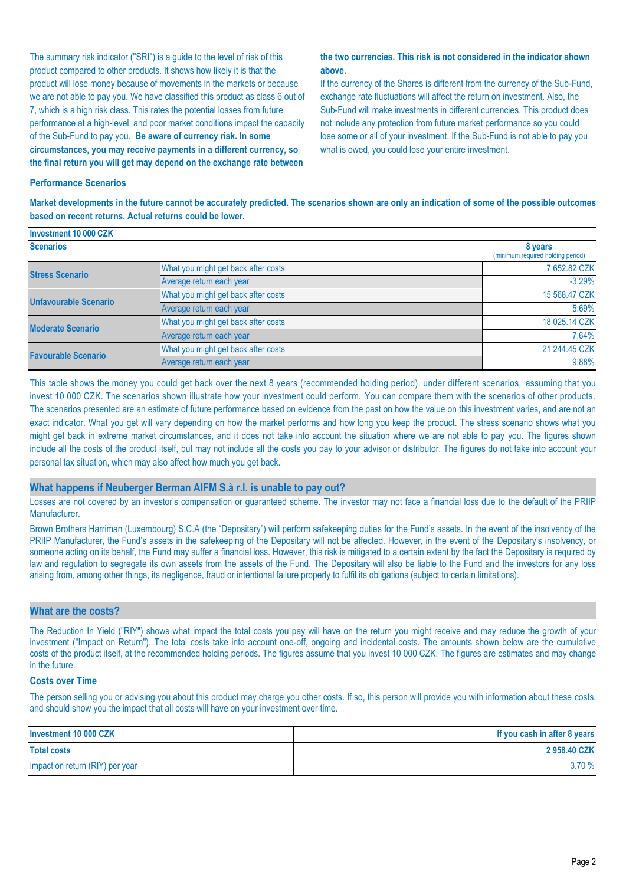The summary risk indicator ("SRI") is a guide to the level of risk of this product compared to other products. It shows how likely it is that the product will lose money because of movements in the markets or because we are not able to pay you. We have classified this product as class 6 out of 7, which is a high risk class. This rates the potential losses from future performance at a high-level, and poor market conditions impact the capacity of the Sub-Fund to pay you. **Be aware of currency risk. In some circumstances, you may receive payments in a different currency, so the final return you will get may depend on the exchange rate between** 

#### **the two currencies. This risk is not considered in the indicator shown above.**

If the currency of the Shares is different from the currency of the Sub-Fund, exchange rate fluctuations will affect the return on investment. Also, the Sub-Fund will make investments in different currencies. This product does not include any protection from future market performance so you could lose some or all of your investment. If the Sub-Fund is not able to pay you what is owed, you could lose your entire investment.

#### **Performance Scenarios**

**Investment 10 000 CZK**

**Market developments in the future cannot be accurately predicted. The scenarios shown are only an indication of some of the possible outcomes based on recent returns. Actual returns could be lower.**

| <b>INVESURENT TV UVU UZN</b> |                                     |                                              |
|------------------------------|-------------------------------------|----------------------------------------------|
| <b>Scenarios</b>             |                                     | 8 years<br>(minimum required holding period) |
| <b>Stress Scenario</b>       | What you might get back after costs | 7 652.82 CZK                                 |
|                              | Average return each year            | $-3.29%$                                     |
| <b>Unfavourable Scenario</b> | What you might get back after costs | 15 568,47 CZK                                |
|                              | Average return each year            | 5.69%                                        |
| <b>Moderate Scenario</b>     | What you might get back after costs | 18 025.14 CZK                                |
|                              | Average return each year            | 7.64%                                        |
| <b>Favourable Scenario</b>   | What you might get back after costs | 21 244.45 CZK                                |
|                              | Average return each year            | 9.88%                                        |

This table shows the money you could get back over the next 8 years (recommended holding period), under different scenarios, assuming that you invest 10 000 CZK. The scenarios shown illustrate how your investment could perform. You can compare them with the scenarios of other products. The scenarios presented are an estimate of future performance based on evidence from the past on how the value on this investment varies, and are not an exact indicator. What you get will vary depending on how the market performs and how long you keep the product. The stress scenario shows what you might get back in extreme market circumstances, and it does not take into account the situation where we are not able to pay you. The figures shown include all the costs of the product itself, but may not include all the costs you pay to your advisor or distributor. The figures do not take into account your personal tax situation, which may also affect how much you get back.

#### **What happens if Neuberger Berman AIFM S.à r.l. is unable to pay out?**

Losses are not covered by an investor's compensation or guaranteed scheme. The investor may not face a financial loss due to the default of the PRIIP Manufacturer.

Brown Brothers Harriman (Luxembourg) S.C.A (the "Depositary") will perform safekeeping duties for the Fund's assets. In the event of the insolvency of the PRIIP Manufacturer, the Fund's assets in the safekeeping of the Depositary will not be affected. However, in the event of the Depositary's insolvency, or someone acting on its behalf, the Fund may suffer a financial loss. However, this risk is mitigated to a certain extent by the fact the Depositary is required by law and regulation to segregate its own assets from the assets of the Fund. The Depositary will also be liable to the Fund and the investors for any loss arising from, among other things, its negligence, fraud or intentional failure properly to fulfil its obligations (subject to certain limitations).

#### **What are the costs?**

The Reduction In Yield ("RIY") shows what impact the total costs you pay will have on the return you might receive and may reduce the growth of your investment ("Impact on Return"). The total costs take into account one-off, ongoing and incidental costs. The amounts shown below are the cumulative costs of the product itself, at the recommended holding periods. The figures assume that you invest 10 000 CZK. The figures are estimates and may change in the future.

#### **Costs over Time**

The person selling you or advising you about this product may charge you other costs. If so, this person will provide you with information about these costs, and should show you the impact that all costs will have on your investment over time.

| Investment 10 000 CZK           | If you cash in after 8 years |
|---------------------------------|------------------------------|
| <b>Total costs</b>              | 2958.40 CZK                  |
| Impact on return (RIY) per year | 3.70%                        |